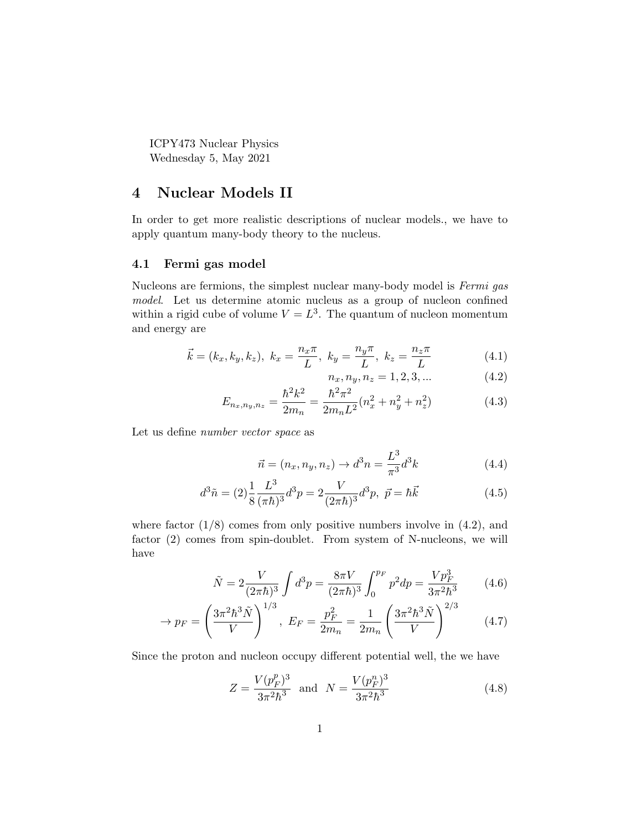ICPY473 Nuclear Physics Wednesday 5, May 2021

## 4 Nuclear Models II

In order to get more realistic descriptions of nuclear models., we have to apply quantum many-body theory to the nucleus.

## 4.1 Fermi gas model

Nucleons are fermions, the simplest nuclear many-body model is Fermi gas model. Let us determine atomic nucleus as a group of nucleon confined within a rigid cube of volume  $V = L<sup>3</sup>$ . The quantum of nucleon momentum and energy are

$$
\vec{k} = (k_x, k_y, k_z), \ k_x = \frac{n_x \pi}{L}, \ k_y = \frac{n_y \pi}{L}, \ k_z = \frac{n_z \pi}{L}
$$
 (4.1)

$$
n_x, n_y, n_z = 1, 2, 3, \dots \tag{4.2}
$$

$$
E_{n_x,n_y,n_z} = \frac{\hbar^2 k^2}{2m_n} = \frac{\hbar^2 \pi^2}{2m_n L^2} (n_x^2 + n_y^2 + n_z^2)
$$
 (4.3)

Let us define number vector space as

$$
\vec{n} = (n_x, n_y, n_z) \to d^3 n = \frac{L^3}{\pi^3} d^3 k \tag{4.4}
$$

$$
d^3\tilde{n} = (2)\frac{1}{8}\frac{L^3}{(\pi\hbar)^3}d^3p = 2\frac{V}{(2\pi\hbar)^3}d^3p, \ \vec{p} = \hbar\vec{k}
$$
\n(4.5)

where factor  $(1/8)$  comes from only positive numbers involve in  $(4.2)$ , and factor (2) comes from spin-doublet. From system of N-nucleons, we will have

$$
\tilde{N} = 2 \frac{V}{(2\pi\hbar)^3} \int d^3p = \frac{8\pi V}{(2\pi\hbar)^3} \int_0^{p_F} p^2 dp = \frac{V p_F^3}{3\pi^2 \hbar^3} \tag{4.6}
$$

$$
\rightarrow p_F = \left(\frac{3\pi^2\hbar^3\tilde{N}}{V}\right)^{1/3}, \ E_F = \frac{p_F^2}{2m_n} = \frac{1}{2m_n} \left(\frac{3\pi^2\hbar^3\tilde{N}}{V}\right)^{2/3} \tag{4.7}
$$

Since the proton and nucleon occupy different potential well, the we have

$$
Z = \frac{V(p_F^p)^3}{3\pi^2\hbar^3} \text{ and } N = \frac{V(p_F^n)^3}{3\pi^2\hbar^3} \tag{4.8}
$$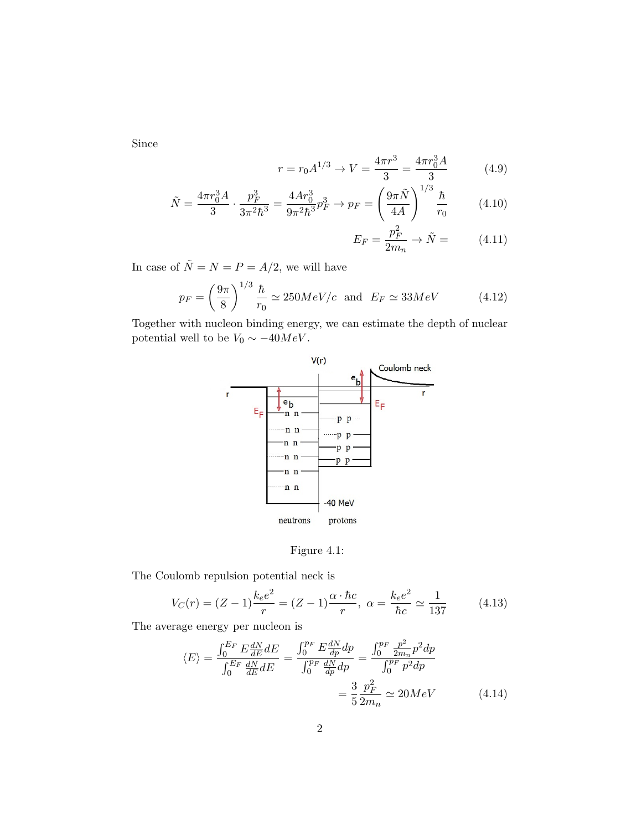Since

$$
r = r_0 A^{1/3} \to V = \frac{4\pi r^3}{3} = \frac{4\pi r_0^3 A}{3} \tag{4.9}
$$

$$
\tilde{N} = \frac{4\pi r_0^3 A}{3} \cdot \frac{p_F^3}{3\pi^2 \hbar^3} = \frac{4Ar_0^3}{9\pi^2 \hbar^3} p_F^3 \to p_F = \left(\frac{9\pi \tilde{N}}{4A}\right)^{1/3} \frac{\hbar}{r_0}
$$
(4.10)

$$
E_F = \frac{p_F^2}{2m_n} \to \tilde{N} = \tag{4.11}
$$

In case of  $\tilde{N}=N=P=A/2,$  we will have

$$
p_F = \left(\frac{9\pi}{8}\right)^{1/3} \frac{\hbar}{r_0} \simeq 250 MeV/c \text{ and } E_F \simeq 33 MeV \tag{4.12}
$$

Together with nucleon binding energy, we can estimate the depth of nuclear potential well to be  $V_0 \sim -40 MeV$ .





The Coulomb repulsion potential neck is

$$
V_C(r) = (Z - 1)\frac{k_e e^2}{r} = (Z - 1)\frac{\alpha \cdot \hbar c}{r}, \ \alpha = \frac{k_e e^2}{\hbar c} \simeq \frac{1}{137}
$$
(4.13)

The average energy per nucleon is

$$
\langle E \rangle = \frac{\int_0^{E_F} E \frac{dN}{dE} dE}{\int_0^{E_F} \frac{dN}{dE} dE} = \frac{\int_0^{p_F} E \frac{dN}{dp} dp}{\int_0^{p_F} \frac{dN}{dp} dp} = \frac{\int_0^{p_F} \frac{p^2}{2m_n} p^2 dp}{\int_0^{p_F} p^2 dp}
$$

$$
= \frac{3}{5} \frac{p_F^2}{2m_n} \simeq 20 MeV \tag{4.14}
$$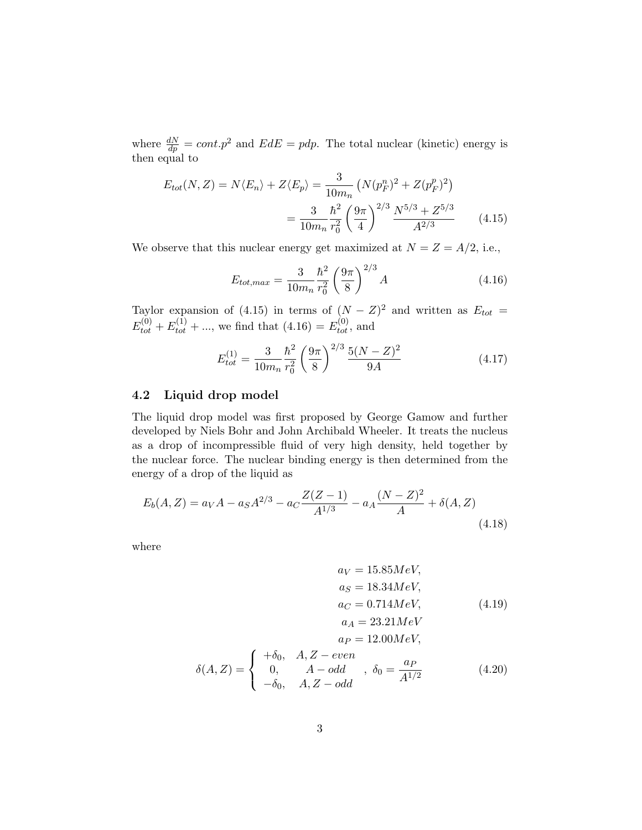where  $\frac{dN}{dp} = cont.p^2$  and  $EdE = pdp$ . The total nuclear (kinetic) energy is then equal to

$$
E_{tot}(N, Z) = N \langle E_n \rangle + Z \langle E_p \rangle = \frac{3}{10m_n} \left( N (p_F^n)^2 + Z (p_F^p)^2 \right)
$$

$$
= \frac{3}{10m_n} \frac{\hbar^2}{r_0^2} \left( \frac{9\pi}{4} \right)^{2/3} \frac{N^{5/3} + Z^{5/3}}{A^{2/3}} \tag{4.15}
$$

We observe that this nuclear energy get maximized at  $N = Z = A/2$ , i.e.,

$$
E_{tot,max} = \frac{3}{10m_n} \frac{\hbar^2}{r_0^2} \left(\frac{9\pi}{8}\right)^{2/3} A \tag{4.16}
$$

Taylor expansion of (4.15) in terms of  $(N - Z)^2$  and written as  $E_{tot} =$  $E_{tot}^{(0)} + E_{tot}^{(1)} + \dots$ , we find that  $(4.16) = E_{tot}^{(0)}$ , and

$$
E_{tot}^{(1)} = \frac{3}{10m_n} \frac{\hbar^2}{r_0^2} \left(\frac{9\pi}{8}\right)^{2/3} \frac{5(N-Z)^2}{9A} \tag{4.17}
$$

## 4.2 Liquid drop model

The liquid drop model was first proposed by George Gamow and further developed by Niels Bohr and John Archibald Wheeler. It treats the nucleus as a drop of incompressible fluid of very high density, held together by the nuclear force. The nuclear binding energy is then determined from the energy of a drop of the liquid as

$$
E_b(A, Z) = a_V A - a_S A^{2/3} - a_C \frac{Z(Z - 1)}{A^{1/3}} - a_A \frac{(N - Z)^2}{A} + \delta(A, Z)
$$
\n(4.18)

where

$$
a_V = 15.85 MeV,
$$
  
\n
$$
a_S = 18.34 MeV,
$$
  
\n
$$
a_C = 0.714 MeV,
$$
  
\n
$$
a_A = 23.21 MeV
$$
  
\n
$$
a_P = 12.00 MeV,
$$
  
\n(4.19)

$$
\delta(A, Z) = \begin{cases}\n+\delta_0, & A, Z - even \\
0, & A - odd \\
-\delta_0, & A, Z - odd\n\end{cases}, \delta_0 = \frac{a_P}{A^{1/2}}\n\tag{4.20}
$$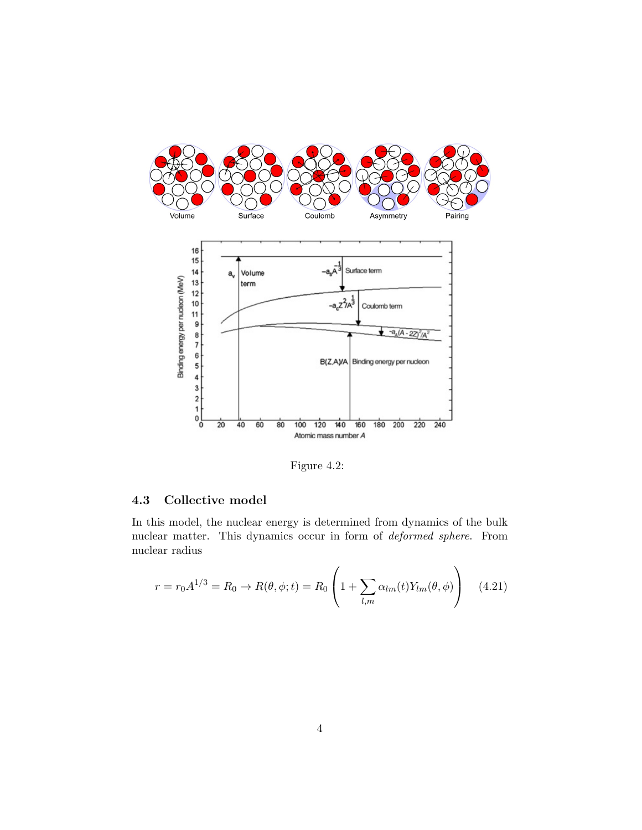



Figure 4.2:

## 4.3 Collective model

In this model, the nuclear energy is determined from dynamics of the bulk nuclear matter. This dynamics occur in form of deformed sphere. From nuclear radius

$$
r = r_0 A^{1/3} = R_0 \to R(\theta, \phi; t) = R_0 \left( 1 + \sum_{l,m} \alpha_{lm}(t) Y_{lm}(\theta, \phi) \right) \quad (4.21)
$$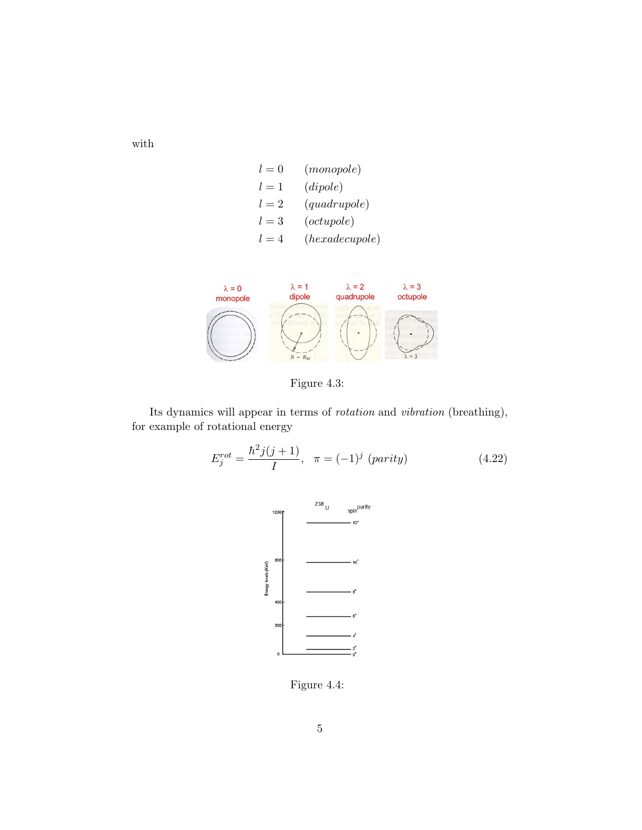$$
l = 0 \t (monopole)
$$
  
\n
$$
l = 1 \t (dipole)
$$
  
\n
$$
l = 2 \t (quadrupole)
$$
  
\n
$$
l = 3 \t (octupole)
$$
  
\n
$$
l = 4 \t (hexadecupole)
$$



Figure 4.3:

Its dynamics will appear in terms of rotation and vibration (breathing), for example of rotational energy

$$
E_j^{rot} = \frac{\hbar^2 j(j+1)}{I}, \quad \pi = (-1)^j \text{ (parity)} \tag{4.22}
$$



Figure 4.4:

with